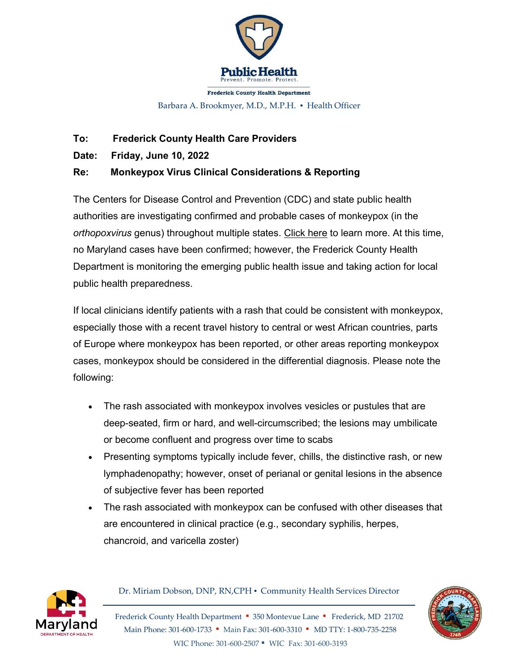

**Frederick County Health Department** 

Barbara A. Brookmyer, M.D., M.P.H. · Health Officer

## **To: Frederick County Health Care Providers**

**Date: Friday, June 10, 2022**

## **Re: Monkeypox Virus Clinical Considerations & Reporting**

The Centers for Disease Control and Prevention (CDC) and state public health authorities are investigating confirmed and probable cases of monkeypox (in the *orthopoxvirus* genus) throughout multiple states. [Click here](https://www.cdc.gov/poxvirus/monkeypox/response/2022/index.html?CDC_AA_refVal=https%3A%2F%2Fwww.cdc.gov%2Fpoxvirus%2Fmonkeypox%2Foutbreak%2Fcurrent.html) to learn more. At this time, no Maryland cases have been confirmed; however, the Frederick County Health Department is monitoring the emerging public health issue and taking action for local public health preparedness.

If local clinicians identify patients with a rash that could be consistent with monkeypox, especially those with a recent travel history to central or west African countries, parts of Europe where monkeypox has been reported, or other areas reporting monkeypox cases, monkeypox should be considered in the differential diagnosis. Please note the following:

- The rash associated with monkeypox involves vesicles or pustules that are deep-seated, firm or hard, and well-circumscribed; the lesions may umbilicate or become confluent and progress over time to scabs
- Presenting symptoms typically include fever, chills, the distinctive rash, or new lymphadenopathy; however, onset of perianal or genital lesions in the absence of subjective fever has been reported
- The rash associated with monkeypox can be confused with other diseases that are encountered in clinical practice (e.g., secondary syphilis, herpes, chancroid, and varicella zoster)



Dr. Miriam Dobson, DNP, RN,CPH ▪ Community Health Services Director

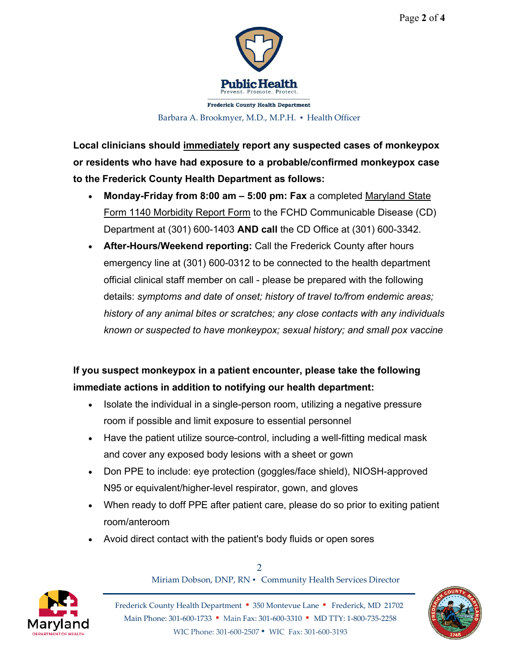

**Frederick County Health Department** Barbara A. Brookmyer, M.D., M.P.H. • Health Officer

**Local clinicians should immediately report any suspected cases of monkeypox or residents who have had exposure to a probable/confirmed monkeypox case to the Frederick County Health Department as follows:**

- **Monday-Friday from 8:00 am – 5:00 pm: Fax** a completed [Maryland State](https://health.maryland.gov/phpa/IDEHASharedDocuments/DHMH-1140_MorbidityReport_rev%202017.pdf) [Form 1140 Morbidity Report Form](https://health.maryland.gov/phpa/IDEHASharedDocuments/DHMH-1140_MorbidityReport_rev%202017.pdf) to the FCHD Communicable Disease (CD) Department at (301) 600-1403 **AND call** the CD Office at (301) 600-3342.
- **After-Hours/Weekend reporting:** Call the Frederick County after hours emergency line at (301) 600-0312 to be connected to the health department official clinical staff member on call - please be prepared with the following details: *symptoms and date of onset; history of travel to/from endemic areas; history of any animal bites or scratches; any close contacts with any individuals known or suspected to have monkeypox; sexual history; and small pox vaccine*

## **If you suspect monkeypox in a patient encounter, please take the following immediate actions in addition to notifying our health department:**

- Isolate the individual in a single-person room, utilizing a negative pressure room if possible and limit exposure to essential personnel
- Have the patient utilize source-control, including a well-fitting medical mask and cover any exposed body lesions with a sheet or gown
- Don PPE to include: eye protection (goggles/face shield), NIOSH-approved N95 or equivalent/higher-level respirator, gown, and gloves
- When ready to doff PPE after patient care, please do so prior to exiting patient room/anteroom
- Avoid direct contact with the patient's body fluids or open sores



2 Miriam Dobson, DNP, RN ▪ Community Health Services Director